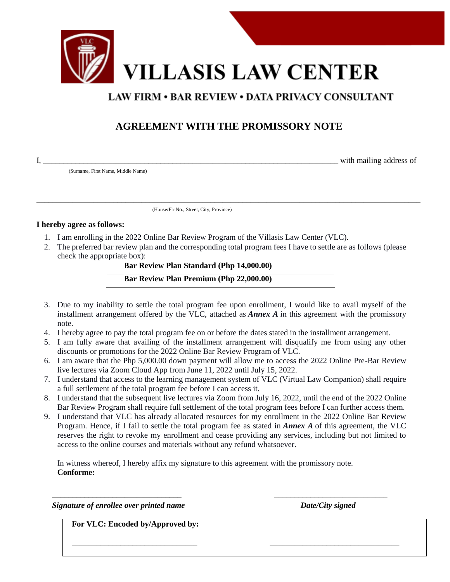

**VILLASIS LAW CENTER** 

## **LAW FIRM • BAR REVIEW • DATA PRIVACY CONSULTANT**

## **AGREEMENT WITH THE PROMISSORY NOTE**

(Surname, First Name, Middle Name)

I, with mailing address of

(House/Flr No., Street, City, Province)

## **I hereby agree as follows:**

- 1. I am enrolling in the 2022 Online Bar Review Program of the Villasis Law Center (VLC).
- 2. The preferred bar review plan and the corresponding total program fees I have to settle are as follows (please check the appropriate box):

\_\_\_\_\_\_\_\_\_\_\_\_\_\_\_\_\_\_\_\_\_\_\_\_\_\_\_\_\_\_\_\_\_\_\_\_\_\_\_\_\_\_\_\_\_\_\_\_\_\_\_\_\_\_\_\_\_\_\_\_\_\_\_\_\_\_\_\_\_\_\_\_\_\_\_\_\_\_\_\_\_\_\_\_\_\_\_\_\_\_\_\_\_\_\_

**Bar Review Plan Standard (Php 14,000.00) Bar Review Plan Premium (Php 22,000.00)**

- 3. Due to my inability to settle the total program fee upon enrollment, I would like to avail myself of the installment arrangement offered by the VLC, attached as *Annex A* in this agreement with the promissory note.
- 4. I hereby agree to pay the total program fee on or before the dates stated in the installment arrangement.
- 5. I am fully aware that availing of the installment arrangement will disqualify me from using any other discounts or promotions for the 2022 Online Bar Review Program of VLC.
- 6. I am aware that the Php 5,000.00 down payment will allow me to access the 2022 Online Pre-Bar Review live lectures via Zoom Cloud App from June 11, 2022 until July 15, 2022.
- 7. I understand that access to the learning management system of VLC (Virtual Law Companion) shall require a full settlement of the total program fee before I can access it.
- 8. I understand that the subsequent live lectures via Zoom from July 16, 2022, until the end of the 2022 Online Bar Review Program shall require full settlement of the total program fees before I can further access them.
- 9. I understand that VLC has already allocated resources for my enrollment in the 2022 Online Bar Review Program. Hence, if I fail to settle the total program fee as stated in *Annex A* of this agreement, the VLC reserves the right to revoke my enrollment and cease providing any services, including but not limited to access to the online courses and materials without any refund whatsoever.

**\_\_\_\_\_\_\_\_\_\_\_\_\_\_\_\_\_\_\_\_\_\_\_\_\_\_\_\_\_\_\_\_** \_\_\_\_\_\_\_\_\_\_\_\_\_\_\_\_\_\_\_\_\_\_\_\_\_\_\_\_

**\_\_\_\_\_\_\_\_\_\_\_\_\_\_\_\_\_\_\_\_\_\_\_\_\_\_\_\_\_\_\_ \_\_\_\_\_\_\_\_\_\_\_\_\_\_\_\_\_\_\_\_\_\_\_\_\_\_\_\_\_\_\_\_**

In witness whereof, I hereby affix my signature to this agreement with the promissory note. **Conforme:**

## *Signature of enrollee over printed name Date/City signed*

**For VLC: Encoded by/Approved by:**